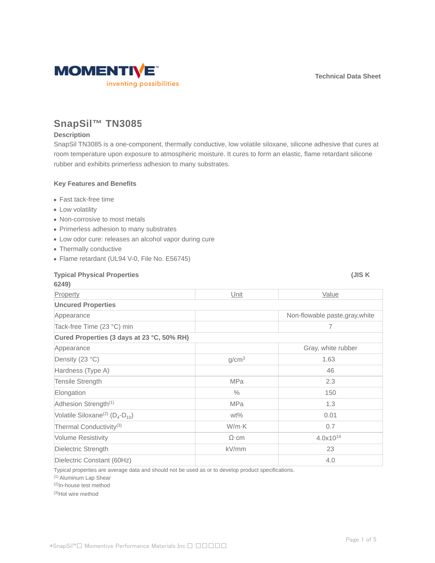

# **SnapSil™ TN3085**

# **Description**

SnapSil TN3085 is a one-component, thermally conductive, low volatile siloxane, silicone adhesive that cures at room temperature upon exposure to atmospheric moisture. It cures to form an elastic, flame retardant silicone rubber and exhibits primerless adhesion to many substrates.

# **Key Features and Benefits**

- Fast tack-free time
- Low volatility
- Non-corrosive to most metals
- Primerless adhesion to many substrates
- Low odor cure: releases an alcohol vapor during cure
- Thermally conductive
- Flame retardant (UL94 V-0, File No. E56745)

| <b>Typical Physical Properties</b><br>6249)           |                   | (JISK                           |  |  |
|-------------------------------------------------------|-------------------|---------------------------------|--|--|
| Property                                              | Unit              | <u>Value</u>                    |  |  |
| <b>Uncured Properties</b>                             |                   |                                 |  |  |
| Appearance                                            |                   | Non-flowable paste, gray, white |  |  |
| Tack-free Time (23 °C) min                            |                   | 7                               |  |  |
| Cured Properties (3 days at 23 °C, 50% RH)            |                   |                                 |  |  |
| Appearance                                            |                   | Gray, white rubber              |  |  |
| Density (23 °C)                                       | g/cm <sup>3</sup> | 1.63                            |  |  |
| Hardness (Type A)                                     |                   | 46                              |  |  |
| <b>Tensile Strength</b>                               | <b>MPa</b>        | 2.3                             |  |  |
| Elongation                                            | $\%$              | 150                             |  |  |
| Adhesion Strength <sup>(1)</sup>                      | <b>MPa</b>        | 1.3                             |  |  |
| Volatile Siloxane <sup>(2)</sup> ( $D_4$ - $D_{10}$ ) | wt%               | 0.01                            |  |  |
| Thermal Conductivity <sup>(3)</sup>                   | W/m·K             | 0.7                             |  |  |
| <b>Volume Resistivity</b>                             | $\Omega$ ·cm      | 4.0x10 <sup>14</sup>            |  |  |
| Dielectric Strength                                   | kV/mm             | 23                              |  |  |
| Dielectric Constant (60Hz)                            |                   | 4.0                             |  |  |

Typical properties are average data and should not be used as or to develop product specifications.

(1) Aluminum Lap Shear

(2)In-house test method

(3)Hot wire method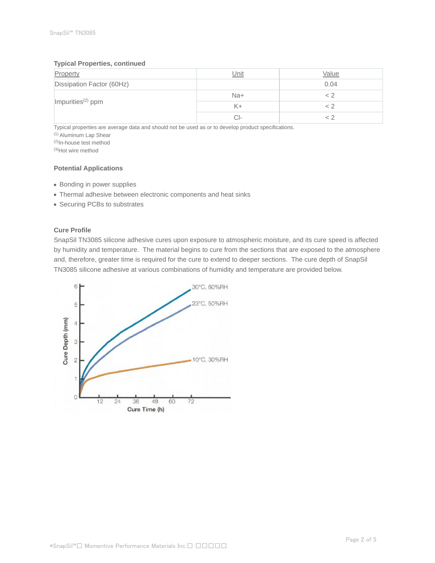#### **Typical Properties, continued**

| Property                      | Unit  | Value |
|-------------------------------|-------|-------|
| Dissipation Factor (60Hz)     |       | 0.04  |
|                               | $Na+$ |       |
| Impurities <sup>(2)</sup> ppm | K+    |       |
|                               | CI-   |       |

Typical properties are average data and should not be used as or to develop product specifications.

(1) Aluminum Lap Shear

(2)In-house test method

(3)Hot wire method

# **Potential Applications**

- Bonding in power supplies
- Thermal adhesive between electronic components and heat sinks
- Securing PCBs to substrates

# **Cure Profile**

SnapSil TN3085 silicone adhesive cures upon exposure to atmospheric moisture, and its cure speed is affected by humidity and temperature. The material begins to cure from the sections that are exposed to the atmosphere and, therefore, greater time is required for the cure to extend to deeper sections. The cure depth of SnapSil TN3085 silicone adhesive at various combinations of humidity and temperature are provided below.

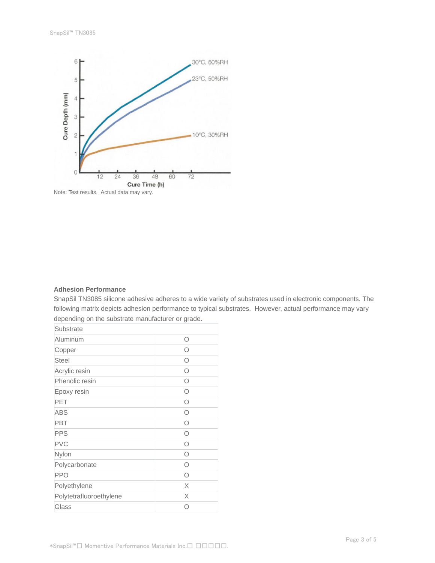

Note: Test results. Actual data may vary.

# **Adhesion Performance**

SnapSil TN3085 silicone adhesive adheres to a wide variety of substrates used in electronic components. The following matrix depicts adhesion performance to typical substrates. However, actual performance may vary depending on the substrate manufacturer or grade.

| Substrate               |   |
|-------------------------|---|
| Aluminum                | Ο |
| Copper                  | ∩ |
| Steel                   | Ω |
| Acrylic resin           | Ω |
| Phenolic resin          | Ο |
| Epoxy resin             | Ω |
| PET                     | Ω |
| <b>ABS</b>              | Ω |
| PBT                     | Ω |
| <b>PPS</b>              | Ω |
| <b>PVC</b>              | Ω |
| Nylon                   | Ω |
| Polycarbonate           | Ω |
| <b>PPO</b>              | Ω |
| Polyethylene            | X |
| Polytetrafluoroethylene | X |
| Glass                   | Ω |
|                         |   |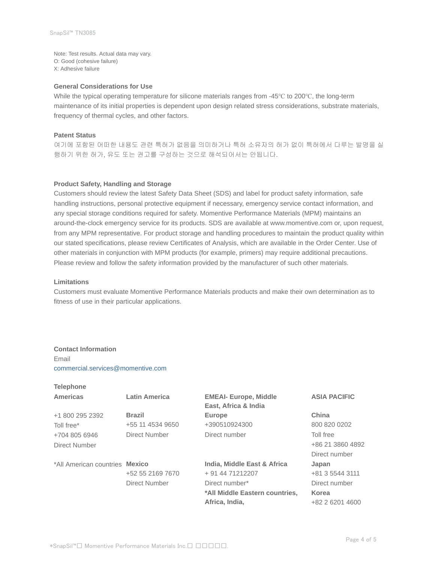Note: Test results. Actual data may vary. O: Good (cohesive failure) X: Adhesive failure

## **General Considerations for Use**

While the typical operating temperature for silicone materials ranges from -45℃ to 200℃, the long-term maintenance of its initial properties is dependent upon design related stress considerations, substrate materials, frequency of thermal cycles, and other factors.

#### **Patent Status**

여기에 포함된 어떠한 내용도 관련 특허가 없음을 의미하거나 특허 소유자의 허가 없이 특허에서 다루는 발명을 실 행하기 위한 허가, 유도 또는 권고를 구성하는 것으로 해석되어서는 안됩니다.

## **Product Safety, Handling and Storage**

Customers should review the latest Safety Data Sheet (SDS) and label for product safety information, safe handling instructions, personal protective equipment if necessary, emergency service contact information, and any special storage conditions required for safety. Momentive Performance Materials (MPM) maintains an around-the-clock emergency service for its products. SDS are available at www.momentive.com or, upon request, from any MPM representative. For product storage and handling procedures to maintain the product quality within our stated specifications, please review Certificates of Analysis, which are available in the Order Center. Use of other materials in conjunction with MPM products (for example, primers) may require additional precautions. Please review and follow the safety information provided by the manufacturer of such other materials.

#### **Limitations**

Customers must evaluate Momentive Performance Materials products and make their own determination as to fitness of use in their particular applications.

#### **Contact Information**

Email commercial.services@momentive.com

# **Telephone**

| <b>Americas</b>                | <b>Latin America</b> | <b>EMEAI- Europe, Middle</b>   | <b>ASIA PACIFIC</b> |
|--------------------------------|----------------------|--------------------------------|---------------------|
|                                |                      | East, Africa & India           |                     |
| +1 800 295 2392                | <b>Brazil</b>        | <b>Europe</b>                  | China               |
| Toll free*                     | +55 11 4534 9650     | +390510924300                  | 800 820 0202        |
| +704 805 6946                  | Direct Number        | Direct number                  | Toll free           |
| Direct Number                  |                      |                                | +86 21 3860 4892    |
|                                |                      |                                | Direct number       |
| *All American countries Mexico |                      | India, Middle East & Africa    | Japan               |
|                                | +52 55 2169 7670     | + 91 44 71212207               | +81 3 5544 3111     |
|                                | Direct Number        | Direct number*                 | Direct number       |
|                                |                      | *All Middle Eastern countries, | <b>Korea</b>        |
|                                |                      | Africa, India,                 | +82 2 6201 4600     |